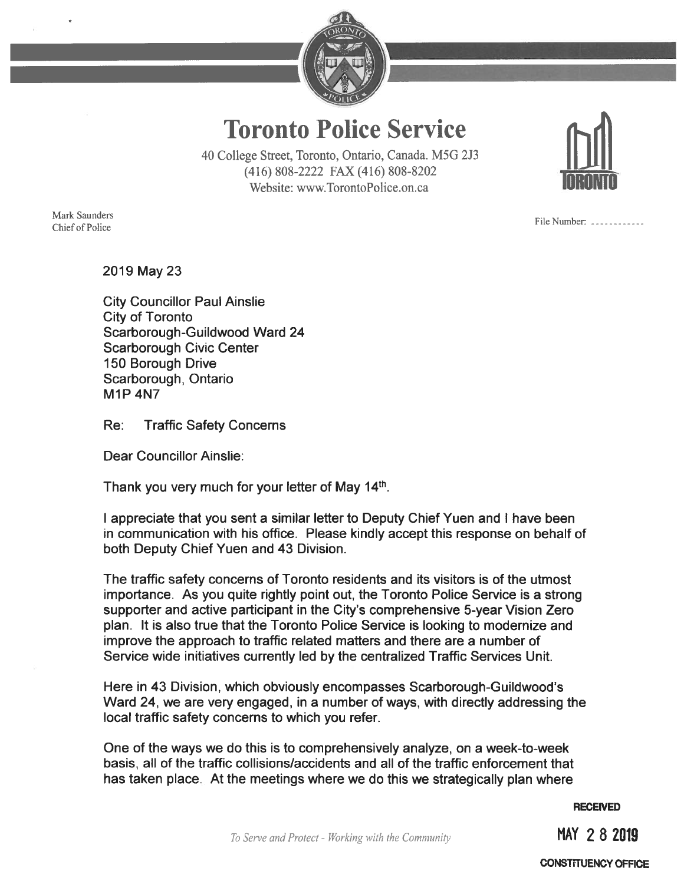

Toronto Police Service

40 College Street, Toronto, Ontario, Canada. M5G 213 (416) 808-2222 FAX (416) 808-8202 Website: www.TorontoPolice.on.ca

Mark Saunders Chief of Police

File Number: \_\_\_\_\_\_\_\_\_\_\_\_

2019 May23

City Councillor Paul Ainslie City of Toronto Scarborough-Guildwood Ward 24 Scarborough Civic Center 150 Borough Drive Scarborough, Ontario M1P 4N7

Re: Traffic Safety Concerns

Dear Councillor Ainslie:

Thank you very much for your letter of May 14<sup>th</sup>.

<sup>I</sup> appreciate that you sent a similar letter to Deputy Chief Yuen and <sup>I</sup> have been in communication with his office. Please kindly accept this response on behalf of both Deputy Chief Yuen and 43 Division.

The traffic safety concerns of Toronto residents and its visitors is of the utmost importance. As you quite rightly point out, the Toronto Police Service is a strong supporter and active participant in the City's comprehensive 5-year Vision Zero plan. It is also true that the Toronto Police Service is looking to modernize and improve the approach to traffic related matters and there are a number of Service wide initiatives currently led by the centralized Traffic Services Unit.

Here in 43 Division, which obviously encompasses Scarborough-Guildwood's Ward 24. we are very engaged, in a number of ways, with directly addressing the local traffic safety concerns to which you refer.

One of the ways we do this is to comprehensively analyze, on a week-to-week basis, all of the traffic collisions/accidents and all of the traffic enforcement that has taken place. At the meetings where we do this we strategically plan where

**RECEIVED** 

MAY 282019

CONSTrIUENCY OFFICE